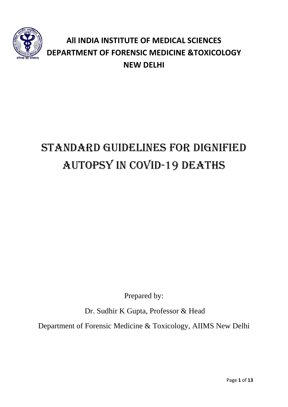

# **All INDIA INSTITUTE OF MEDICAL SCIENCES DEPARTMENT OF FORENSIC MEDICINE &TOXICOLOGY NEW DELHI**

# STANDARD GUIDELINES FOR DIGNIFIED AUTOPSY IN COVID-19 DEATHS

Prepared by:

Dr. Sudhir K Gupta, Professor & Head

Department of Forensic Medicine & Toxicology, AIIMS New Delhi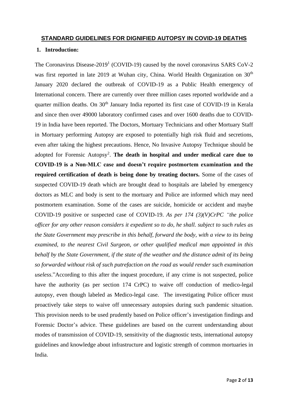#### **STANDARD GUIDELINES FOR DIGNIFIED AUTOPSY IN COVID-19 DEATHS**

#### **1. Introduction:**

The Coronavirus Disease-2019<sup>1</sup> (COVID-19) caused by the novel coronavirus SARS CoV-2 was first reported in late 2019 at Wuhan city, China. World Health Organization on 30<sup>th</sup> January 2020 declared the outbreak of COVID-19 as a Public Health emergency of International concern. There are currently over three million cases reported worldwide and a quarter million deaths. On 30<sup>th</sup> January India reported its first case of COVID-19 in Kerala and since then over 49000 laboratory confirmed cases and over 1600 deaths due to COVID-19 in India have been reported. The Doctors, Mortuary Technicians and other Mortuary Staff in Mortuary performing Autopsy are exposed to potentially high risk fluid and secretions, even after taking the highest precautions. Hence, No Invasive Autopsy Technique should be adopted for Forensic Autopsy<sup>2</sup>. The death in hospital and under medical care due to **COVID-19 is a Non-MLC case and doesn't require postmortem examination and the required certification of death is being done by treating doctors.** Some of the cases of suspected COVID-19 death which are brought dead to hospitals are labeled by emergency doctors as MLC and body is sent to the mortuary and Police are informed which may need postmortem examination. Some of the cases are suicide, homicide or accident and maybe COVID-19 positive or suspected case of COVID-19. *As per 174 (3)(V)CrPC "the police officer for any other reason considers it expedient so to do, he shall. subject to such rules as the State Government may prescribe in this behalf, forward the body, with a view to its being examined, to the nearest Civil Surgeon, or other qualified medical man appointed in this behalf by the State Government, if the state of the weather and the distance admit of its being so forwarded without risk of such putrefaction on the road as would render such examination useless*."According to this after the inquest procedure, if any crime is not suspected, police have the authority (as per section 174 CrPC) to waive off conduction of medico-legal autopsy, even though labeled as Medico-legal case. The investigating Police officer must proactively take steps to waive off unnecessary autopsies during such pandemic situation. This provision needs to be used prudently based on Police officer's investigation findings and Forensic Doctor's advice. These guidelines are based on the current understanding about modes of transmission of COVID-19, sensitivity of the diagnostic tests, international autopsy guidelines and knowledge about infrastructure and logistic strength of common mortuaries in India.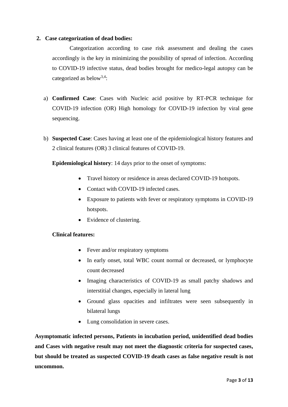#### **2. Case categorization of dead bodies:**

Categorization according to case risk assessment and dealing the cases accordingly is the key in minimizing the possibility of spread of infection. According to COVID-19 infective status, dead bodies brought for medico-legal autopsy can be categorized as below<sup>3,4</sup>:

- a) **Confirmed Case**: Cases with Nucleic acid positive by RT-PCR technique for COVID-19 infection (OR) High homology for COVID-19 infection by viral gene sequencing.
- b) **Suspected Case**: Cases having at least one of the epidemiological history features and 2 clinical features (OR) 3 clinical features of COVID-19.

**Epidemiological history**: 14 days prior to the onset of symptoms:

- Travel history or residence in areas declared COVID-19 hotspots.
- Contact with COVID-19 infected cases.
- Exposure to patients with fever or respiratory symptoms in COVID-19 hotspots.
- Evidence of clustering.

#### **Clinical features:**

- Fever and/or respiratory symptoms
- In early onset, total WBC count normal or decreased, or lymphocyte count decreased
- Imaging characteristics of COVID-19 as small patchy shadows and interstitial changes, especially in lateral lung
- Ground glass opacities and infiltrates were seen subsequently in bilateral lungs
- Lung consolidation in severe cases.

**Asymptomatic infected persons, Patients in incubation period, unidentified dead bodies and Cases with negative result may not meet the diagnostic criteria for suspected cases, but should be treated as suspected COVID-19 death cases as false negative result is not uncommon.**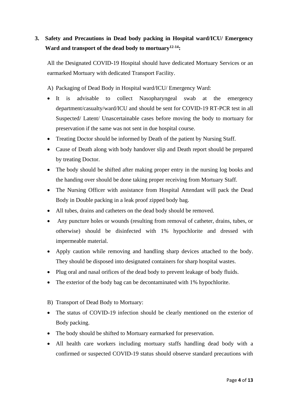## **3. Safety and Precautions in Dead body packing in Hospital ward/ICU/ Emergency Ward and transport of the dead body to mortuary12-14:**

All the Designated COVID-19 Hospital should have dedicated Mortuary Services or an earmarked Mortuary with dedicated Transport Facility.

A) Packaging of Dead Body in Hospital ward/ICU/ Emergency Ward:

- It is advisable to collect Nasopharyngeal swab at the emergency department/casualty/ward/ICU and should be sent for COVID-19 RT-PCR test in all Suspected/ Latent/ Unascertainable cases before moving the body to mortuary for preservation if the same was not sent in due hospital course.
- Treating Doctor should be informed by Death of the patient by Nursing Staff.
- Cause of Death along with body handover slip and Death report should be prepared by treating Doctor.
- The body should be shifted after making proper entry in the nursing log books and the handing over should be done taking proper receiving from Mortuary Staff.
- The Nursing Officer with assistance from Hospital Attendant will pack the Dead Body in Double packing in a leak proof zipped body bag.
- All tubes, drains and catheters on the dead body should be removed.
- Any puncture holes or wounds (resulting from removal of catheter, drains, tubes, or otherwise) should be disinfected with 1% hypochlorite and dressed with impermeable material.
- Apply caution while removing and handling sharp devices attached to the body. They should be disposed into designated containers for sharp hospital wastes.
- Plug oral and nasal orifices of the dead body to prevent leakage of body fluids.
- The exterior of the body bag can be decontaminated with 1% hypochlorite.
- B) Transport of Dead Body to Mortuary:
- The status of COVID-19 infection should be clearly mentioned on the exterior of Body packing.
- The body should be shifted to Mortuary earmarked for preservation.
- All health care workers including mortuary staffs handling dead body with a confirmed or suspected COVID-19 status should observe standard precautions with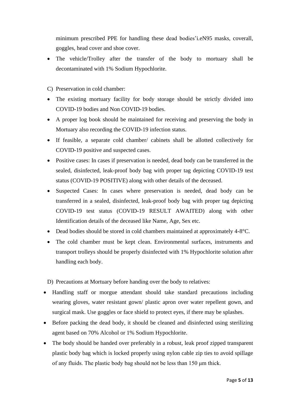minimum prescribed PPE for handling these dead bodies'i.eN95 masks, coverall, goggles, head cover and shoe cover.

• The vehicle/Trolley after the transfer of the body to mortuary shall be decontaminated with 1% Sodium Hypochlorite.

C) Preservation in cold chamber:

- The existing mortuary facility for body storage should be strictly divided into COVID-19 bodies and Non COVID-19 bodies.
- A proper log book should be maintained for receiving and preserving the body in Mortuary also recording the COVID-19 infection status.
- If feasible, a separate cold chamber/ cabinets shall be allotted collectively for COVID-19 positive and suspected cases.
- Positive cases: In cases if preservation is needed, dead body can be transferred in the sealed, disinfected, leak-proof body bag with proper tag depicting COVID-19 test status (COVID-19 POSITIVE) along with other details of the deceased.
- Suspected Cases: In cases where preservation is needed, dead body can be transferred in a sealed, disinfected, leak-proof body bag with proper tag depicting COVID-19 test status (COVID-19 RESULT AWAITED) along with other Identification details of the deceased like Name, Age, Sex etc.
- Dead bodies should be stored in cold chambers maintained at approximately 4-8°C.
- The cold chamber must be kept clean. Environmental surfaces, instruments and transport trolleys should be properly disinfected with 1% Hypochlorite solution after handling each body.

D) Precautions at Mortuary before handing over the body to relatives:

- Handling staff or morgue attendant should take standard precautions including wearing gloves, water resistant gown/ plastic apron over water repellent gown, and surgical mask. Use goggles or face shield to protect eyes, if there may be splashes.
- Before packing the dead body, it should be cleaned and disinfected using sterilizing agent based on 70% Alcohol or 1% Sodium Hypochlorite.
- The body should be handed over preferably in a robust, leak proof zipped transparent plastic body bag which is locked properly using nylon cable zip ties to avoid spillage of any fluids. The plastic body bag should not be less than 150 μm thick.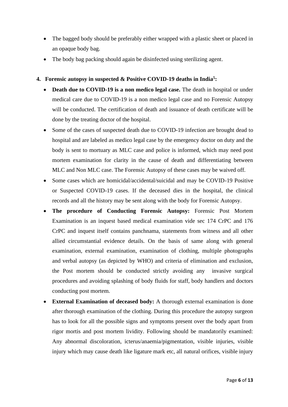- The bagged body should be preferably either wrapped with a plastic sheet or placed in an opaque body bag.
- The body bag packing should again be disinfected using sterilizing agent.

#### **4. Forensic autopsy in suspected & Positive COVID-19 deaths in India<sup>5</sup> :**

- **Death due to COVID-19 is a non medico legal case.** The death in hospital or under medical care due to COVID-19 is a non medico legal case and no Forensic Autopsy will be conducted. The certification of death and issuance of death certificate will be done by the treating doctor of the hospital.
- Some of the cases of suspected death due to COVID-19 infection are brought dead to hospital and are labeled as medico legal case by the emergency doctor on duty and the body is sent to mortuary as MLC case and police is informed, which may need post mortem examination for clarity in the cause of death and differentiating between MLC and Non MLC case. The Forensic Autopsy of these cases may be waived off.
- Some cases which are homicidal/accidental/suicidal and may be COVID-19 Positive or Suspected COVID-19 cases. If the deceased dies in the hospital, the clinical records and all the history may be sent along with the body for Forensic Autopsy.
- **The procedure of Conducting Forensic Autopsy:** Forensic Post Mortem Examination is an inquest based medical examination vide sec 174 CrPC and 176 CrPC and inquest itself contains panchnama, statements from witness and all other allied circumstantial evidence details. On the basis of same along with general examination, external examination, examination of clothing, multiple photographs and verbal autopsy (as depicted by WHO) and criteria of elimination and exclusion, the Post mortem should be conducted strictly avoiding any invasive surgical procedures and avoiding splashing of body fluids for staff, body handlers and doctors conducting post mortem.
- **External Examination of deceased body:** A thorough external examination is done after thorough examination of the clothing. During this procedure the autopsy surgeon has to look for all the possible signs and symptoms present over the body apart from rigor mortis and post mortem lividity. Following should be mandatorily examined: Any abnormal discoloration, icterus/anaemia/pigmentation, visible injuries, visible injury which may cause death like ligature mark etc, all natural orifices, visible injury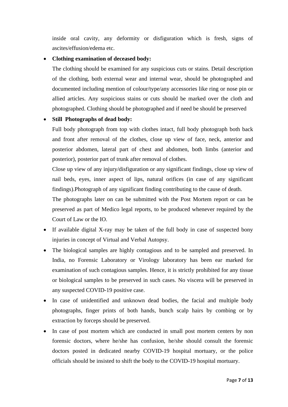inside oral cavity, any deformity or disfiguration which is fresh, signs of ascites/effusion/edema etc.

#### • **Clothing examination of deceased body:**

The clothing should be examined for any suspicious cuts or stains. Detail description of the clothing, both external wear and internal wear, should be photographed and documented including mention of colour/type/any accessories like ring or nose pin or allied articles. Any suspicious stains or cuts should be marked over the cloth and photographed. Clothing should be photographed and if need be should be preserved

#### • **Still Photographs of dead body:**

Full body photograph from top with clothes intact, full body photograph both back and front after removal of the clothes, close up view of face, neck, anterior and posterior abdomen, lateral part of chest and abdomen, both limbs (anterior and posterior), posterior part of trunk after removal of clothes.

Close up view of any injury/disfiguration or any significant findings, close up view of nail beds, eyes, inner aspect of lips, natural orifices (in case of any significant findings).Photograph of any significant finding contributing to the cause of death.

The photographs later on can be submitted with the Post Mortem report or can be preserved as part of Medico legal reports, to be produced whenever required by the Court of Law or the IO.

- If available digital X-ray may be taken of the full body in case of suspected bony injuries in concept of Virtual and Verbal Autopsy.
- The biological samples are highly contagious and to be sampled and preserved. In India, no Forensic Laboratory or Virology laboratory has been ear marked for examination of such contagious samples. Hence, it is strictly prohibited for any tissue or biological samples to be preserved in such cases. No viscera will be preserved in any suspected COVID-19 positive case.
- In case of unidentified and unknown dead bodies, the facial and multiple body photographs, finger prints of both hands, bunch scalp hairs by combing or by extraction by forceps should be preserved.
- In case of post mortem which are conducted in small post mortem centers by non forensic doctors, where he/she has confusion, he/she should consult the forensic doctors posted in dedicated nearby COVID-19 hospital mortuary, or the police officials should be insisted to shift the body to the COVID-19 hospital mortuary.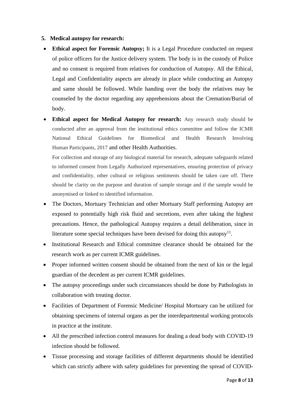#### **5. Medical autopsy for research:**

- **Ethical aspect for Forensic Autopsy;** It is a Legal Procedure conducted on request of police officers for the Justice delivery system. The body is in the custody of Police and no consent is required from relatives for conduction of Autopsy. All the Ethical, Legal and Confidentiality aspects are already in place while conducting an Autopsy and same should be followed. While handing over the body the relatives may be counseled by the doctor regarding any apprehensions about the Cremation/Burial of body.
- **Ethical aspect for Medical Autopsy for research:** Any research study should be conducted after an approval from the institutional ethics committee and follow the ICMR National Ethical Guidelines for Biomedical and Health Research Involving Human Participants, 2017 and other Health Authorities.

For collection and storage of any biological material for research, adequate safeguards related to informed consent from Legally Authorized representatives, ensuring protection of privacy and confidentiality, other cultural or religious sentiments should be taken care off. There should be clarity on the purpose and duration of sample storage and if the sample would be anonymised or linked to identified information.

- The Doctors, Mortuary Technician and other Mortuary Staff performing Autopsy are exposed to potentially high risk fluid and secretions, even after taking the highest precautions. Hence, the pathological Autopsy requires a detail deliberation, since in literature some special techniques have been devised for doing this autopsy<sup>11</sup>.
- Institutional Research and Ethical committee clearance should be obtained for the research work as per current ICMR guidelines.
- Proper informed written consent should be obtained from the next of kin or the legal guardian of the decedent as per current ICMR guidelines.
- The autopsy proceedings under such circumstances should be done by Pathologists in collaboration with treating doctor.
- Facilities of Department of Forensic Medicine/ Hospital Mortuary can be utilized for obtaining specimens of internal organs as per the interdepartmental working protocols in practice at the institute.
- All the prescribed infection control measures for dealing a dead body with COVID-19 infection should be followed.
- Tissue processing and storage facilities of different departments should be identified which can strictly adhere with safety guidelines for preventing the spread of COVID-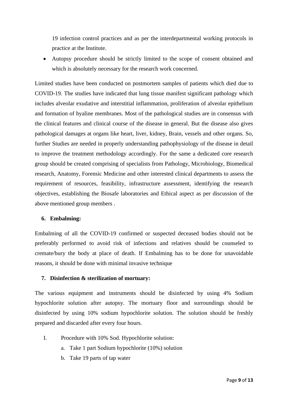19 infection control practices and as per the interdepartmental working protocols in practice at the Institute.

• Autopsy procedure should be strictly limited to the scope of consent obtained and which is absolutely necessary for the research work concerned.

Limited studies have been conducted on postmortem samples of patients which died due to COVID-19. The studies have indicated that lung tissue manifest significant pathology which includes alveolar exudative and interstitial inflammation, proliferation of alveolar epithelium and formation of hyaline membranes. Most of the pathological studies are in consensus with the clinical features and clinical course of the disease in general. But the disease also gives pathological damages at organs like heart, liver, kidney, Brain, vessels and other organs. So, further Studies are needed in properly understanding pathophysiology of the disease in detail to improve the treatment methodology accordingly. For the same a dedicated core research group should be created comprising of specialists from Pathology, Microbiology, Biomedical research, Anatomy, Forensic Medicine and other interested clinical departments to assess the requirement of resources, feasibility, infrastructure assessment, identifying the research objectives, establishing the Biosafe laboratories and Ethical aspect as per discussion of the above mentioned group members .

#### **6. Embalming:**

Embalming of all the COVID-19 confirmed or suspected deceased bodies should not be preferably performed to avoid risk of infections and relatives should be counseled to cremate/bury the body at place of death. If Embalming has to be done for unavoidable reasons, it should be done with minimal invasive technique

#### **7. Disinfection & sterilization of mortuary:**

The various equipment and instruments should be disinfected by using 4% Sodium hypochlorite solution after autopsy. The mortuary floor and surroundings should be disinfected by using 10% sodium hypochlorite solution. The solution should be freshly prepared and discarded after every four hours.

- I. Procedure with 10% Sod. Hypochlorite solution:
	- a. Take 1 part Sodium hypochlorite (10%) solution
	- b. Take 19 parts of tap water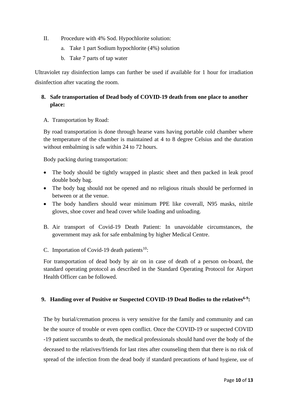- II. Procedure with 4% Sod. Hypochlorite solution:
	- a. Take 1 part Sodium hypochlorite (4%) solution
	- b. Take 7 parts of tap water

Ultraviolet ray disinfection lamps can further be used if available for 1 hour for irradiation disinfection after vacating the room.

#### **8. Safe transportation of Dead body of COVID-19 death from one place to another place:**

A. Transportation by Road:

By road transportation is done through hearse vans having portable cold chamber where the temperature of the chamber is maintained at 4 to 8 degree Celsius and the duration without embalming is safe within 24 to 72 hours.

Body packing during transportation:

- The body should be tightly wrapped in plastic sheet and then packed in leak proof double body bag.
- The body bag should not be opened and no religious rituals should be performed in between or at the venue.
- The body handlers should wear minimum PPE like coverall, N95 masks, nitrile gloves, shoe cover and head cover while loading and unloading.
- B. Air transport of Covid-19 Death Patient: In unavoidable circumstances, the government may ask for safe embalming by higher Medical Centre.
- C. Importation of Covid-19 death patients<sup>10</sup>:

For transportation of dead body by air on in case of death of a person on-board, the standard operating protocol as described in the Standard Operating Protocol for Airport Health Officer can be followed.

#### **9. Handing over of Positive or Suspected COVID-19 Dead Bodies to the relatives6-9 :**

The by burial/cremation process is very sensitive for the family and community and can be the source of trouble or even open conflict. Once the COVID-19 or suspected COVID -19 patient succumbs to death, the medical professionals should hand over the body of the deceased to the relatives/friends for last rites after counseling them that there is no risk of spread of the infection from the dead body if standard precautions of hand hygiene, use of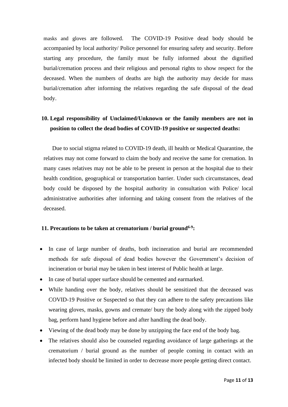masks and gloves are followed. The COVID-19 Positive dead body should be accompanied by local authority/ Police personnel for ensuring safety and security. Before starting any procedure, the family must be fully informed about the dignified burial/cremation process and their religious and personal rights to show respect for the deceased. When the numbers of deaths are high the authority may decide for mass burial/cremation after informing the relatives regarding the safe disposal of the dead body.

### **10. Legal responsibility of Unclaimed/Unknown or the family members are not in position to collect the dead bodies of COVID-19 positive or suspected deaths:**

Due to social stigma related to COVID-19 death, ill health or Medical Quarantine, the relatives may not come forward to claim the body and receive the same for cremation. In many cases relatives may not be able to be present in person at the hospital due to their health condition, geographical or transportation barrier. Under such circumstances, dead body could be disposed by the hospital authority in consultation with Police/ local administrative authorities after informing and taking consent from the relatives of the deceased.

#### **11. Precautions to be taken at crematorium / burial ground6-9 :**

- In case of large number of deaths, both incineration and burial are recommended methods for safe disposal of dead bodies however the Government's decision of incineration or burial may be taken in best interest of Public health at large.
- In case of burial upper surface should be cemented and earmarked.
- While handing over the body, relatives should be sensitized that the deceased was COVID-19 Positive or Suspected so that they can adhere to the safety precautions like wearing gloves, masks, gowns and cremate/ bury the body along with the zipped body bag, perform hand hygiene before and after handling the dead body.
- Viewing of the dead body may be done by unzipping the face end of the body bag.
- The relatives should also be counseled regarding avoidance of large gatherings at the crematorium / burial ground as the number of people coming in contact with an infected body should be limited in order to decrease more people getting direct contact.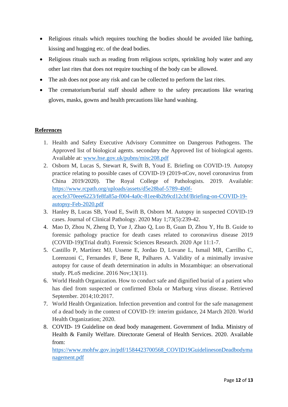- Religious rituals which requires touching the bodies should be avoided like bathing, kissing and hugging etc. of the dead bodies.
- Religious rituals such as reading from religious scripts, sprinkling holy water and any other last rites that does not require touching of the body can be allowed.
- The ash does not pose any risk and can be collected to perform the last rites.
- The crematorium/burial staff should adhere to the safety precautions like wearing gloves, masks, gowns and health precautions like hand washing.

#### **References**

- 1. Health and Safety Executive Advisory Committee on Dangerous Pathogens. The Approved list of biological agents. secondary the Approved list of biological agents. Available at: [www.hse.gov.uk/pubns/misc208.pdf](http://www.hse.gov.uk/pubns/misc208.pdf)
- 2. Osborn M, Lucas S, Stewart R, Swift B, Youd E. Briefing on COVID-19. Autopsy practice relating to possible cases of COVID-19 (2019-nCov, novel coronavirus from China 2019/2020). The Royal College of Pathologists. 2019. Available: [https://www.rcpath.org/uploads/assets/d5e28baf-5789-4b0f](https://www.rcpath.org/uploads/assets/d5e28baf-5789-4b0f-acecfe370eee6223/fe8fa85a-f004-4a0c-81ee4b2b9cd12cbf/Briefing-on-COVID-19-autopsy-Feb-2020.pdf)[acecfe370eee6223/fe8fa85a-f004-4a0c-81ee4b2b9cd12cbf/Briefing-on-COVID-19](https://www.rcpath.org/uploads/assets/d5e28baf-5789-4b0f-acecfe370eee6223/fe8fa85a-f004-4a0c-81ee4b2b9cd12cbf/Briefing-on-COVID-19-autopsy-Feb-2020.pdf) [autopsy-Feb-2020.pdf](https://www.rcpath.org/uploads/assets/d5e28baf-5789-4b0f-acecfe370eee6223/fe8fa85a-f004-4a0c-81ee4b2b9cd12cbf/Briefing-on-COVID-19-autopsy-Feb-2020.pdf)
- 3. Hanley B, Lucas SB, Youd E, Swift B, Osborn M. Autopsy in suspected COVID-19 cases. Journal of Clinical Pathology. 2020 May 1;73(5):239-42.
- 4. Mao D, Zhou N, Zheng D, Yue J, Zhao Q, Luo B, Guan D, Zhou Y, Hu B. Guide to forensic pathology practice for death cases related to coronavirus disease 2019 (COVID-19)(Trial draft). Forensic Sciences Research. 2020 Apr 11:1-7.
- 5. Castillo P, Martínez MJ, Ussene E, Jordao D, Lovane L, Ismail MR, Carrilho C, Lorenzoni C, Fernandes F, Bene R, Palhares A. Validity of a minimally invasive autopsy for cause of death determination in adults in Mozambique: an observational study. PLoS medicine. 2016 Nov;13(11).
- 6. World Health Organization. How to conduct safe and dignified burial of a patient who has died from suspected or confirmed Ebola or Marburg virus disease. Retrieved September. 2014;10:2017.
- 7. World Health Organization. Infection prevention and control for the safe management of a dead body in the context of COVID-19: interim guidance, 24 March 2020. World Health Organization; 2020.
- 8. COVID- 19 Guideline on dead body management. Government of India. Ministry of Health & Family Welfare. Directorate General of Health Services. 2020. Available from:

[https://www.mohfw.gov.in/pdf/1584423700568\\_COVID19GuidelinesonDeadbodyma](https://www.mohfw.gov.in/pdf/1584423700568_COVID19GuidelinesonDeadbodymanagement.pdf) [nagement.pdf](https://www.mohfw.gov.in/pdf/1584423700568_COVID19GuidelinesonDeadbodymanagement.pdf)